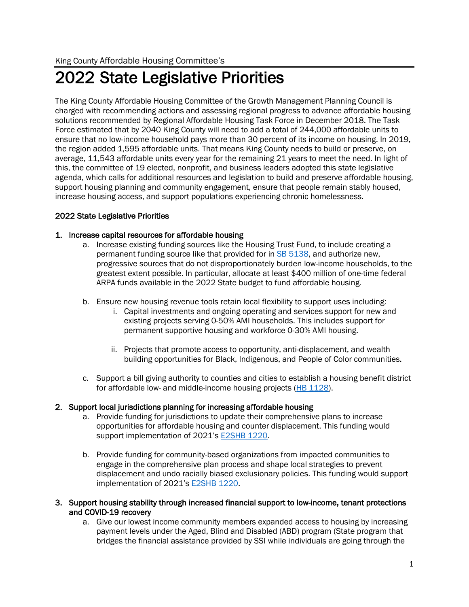# 2022 State Legislative Priorities

The King County Affordable Housing Committee of the Growth Management Planning Council is charged with recommending actions and assessing regional progress to advance affordable housing solutions recommended by Regional Affordable Housing Task Force in December 2018. The Task Force estimated that by 2040 King County will need to add a total of 244,000 affordable units to ensure that no low-income household pays more than 30 percent of its income on housing. In 2019, the region added 1,595 affordable units. That means King County needs to build or preserve, on average, 11,543 affordable units every year for the remaining 21 years to meet the need. In light of this, the committee of 19 elected, nonprofit, and business leaders adopted this state legislative agenda, which calls for additional resources and legislation to build and preserve affordable housing, support housing planning and community engagement, ensure that people remain stably housed, increase housing access, and support populations experiencing chronic homelessness.

## 2022 State Legislative Priorities

## 1. Increase capital resources for affordable housing

- a. Increase existing funding sources like the Housing Trust Fund, to include creating a permanent funding source like that provided for in [SB 5138,](https://app.leg.wa.gov/billsummary?BillNumber=5138&Year=2021&Initiative=false) and authorize new, progressive sources that do not disproportionately burden low-income households, to the greatest extent possible. In particular, allocate at least \$400 million of one-time federal ARPA funds available in the 2022 State budget to fund affordable housing.
- b. Ensure new housing revenue tools retain local flexibility to support uses including:
	- i. Capital investments and ongoing operating and services support for new and existing projects serving 0-50% AMI households. This includes support for permanent supportive housing and workforce 0-30% AMI housing.
	- ii. Projects that promote access to opportunity, anti-displacement, and wealth building opportunities for Black, Indigenous, and People of Color communities.
- c. Support a bill giving authority to counties and cities to establish a housing benefit district for affordable low- and middle-income housing projects [\(HB 1128\)](https://app.leg.wa.gov/billsummary?BillNumber=1128&Initiative=false&Year=2021).

## 2. Support local jurisdictions planning for increasing affordable housing

- a. Provide funding for jurisdictions to update their comprehensive plans to increase opportunities for affordable housing and counter displacement. This funding would support implementation of 2021's [E2SHB](https://app.leg.wa.gov/billsummary?BillNumber=1220&Initiative=false&Year=2021) 1220.
- b. Provide funding for community-based organizations from impacted communities to engage in the comprehensive plan process and shape local strategies to prevent displacement and undo racially biased exclusionary policies. This funding would support implementation of 2021's [E2SHB 1220.](https://app.leg.wa.gov/billsummary?BillNumber=1220&Initiative=false&Year=2021)
- 3. Support housing stability through increased financial support to low-income, tenant protections and COVID-19 recovery
	- a. Give our lowest income community members expanded access to housing by increasing payment levels under the Aged, Blind and Disabled (ABD) program (State program that bridges the financial assistance provided by SSI while individuals are going through the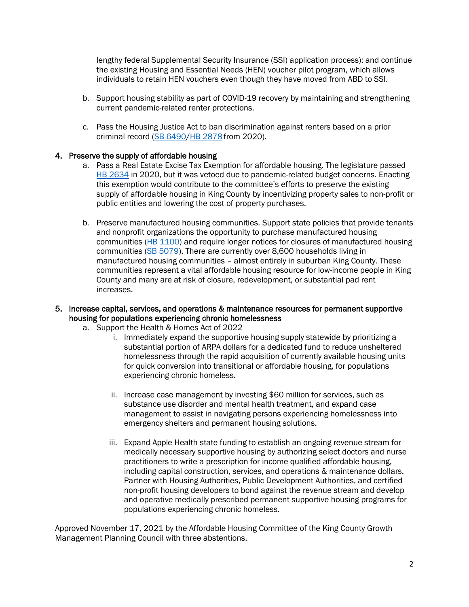lengthy federal Supplemental Security Insurance (SSI) application process); and continue the existing Housing and Essential Needs (HEN) voucher pilot program, which allows individuals to retain HEN vouchers even though they have moved from ABD to SSI.

- b. Support housing stability as part of COVID-19 recovery by maintaining and strengthening current pandemic-related renter protections.
- c. Pass the Housing Justice Act to ban discrimination against renters based on a prior criminal record [\(SB 6490](https://gcc02.safelinks.protection.outlook.com/?url=https%3A%2F%2Fapp.leg.wa.gov%2Fbillsummary%3FBillNumber%3D6490%26Initiative%3Dfalse%26Year%3D2019&data=04%7C01%7Cmdaffern%40kingcounty.gov%7Cd2a90daacc8042470d7a08d9a0b58482%7Cbae5059a76f049d7999672dfe95d69c7%7C0%7C0%7C637717523751791745%7CUnknown%7CTWFpbGZsb3d8eyJWIjoiMC4wLjAwMDAiLCJQIjoiV2luMzIiLCJBTiI6Ik1haWwiLCJXVCI6Mn0%3D%7C1000&sdata=2ILOLLJV6PZiSO53j99Uy2QmLFiaG7rm1lGBu6XCuKU%3D&reserved=0)[/HB 2878](https://gcc02.safelinks.protection.outlook.com/?url=https%3A%2F%2Fapp.leg.wa.gov%2Fbillsummary%3FBillNumber%3D2878%26Chamber%3DHouse%26Year%3D2019&data=04%7C01%7Cmdaffern%40kingcounty.gov%7Cd2a90daacc8042470d7a08d9a0b58482%7Cbae5059a76f049d7999672dfe95d69c7%7C0%7C0%7C637717523751791745%7CUnknown%7CTWFpbGZsb3d8eyJWIjoiMC4wLjAwMDAiLCJQIjoiV2luMzIiLCJBTiI6Ik1haWwiLCJXVCI6Mn0%3D%7C1000&sdata=rTO5BAXAFJUDPiD3M23J0H5IWMJyQpYc3Gz4BGZ2QVM%3D&reserved=0) from 2020).

## 4. Preserve the supply of affordable housing

- a. Pass a Real Estate Excise Tax Exemption for affordable housing. The legislature passed [HB 2634](https://app.leg.wa.gov/billsummary?BillNumber=2634&Initiative=false&Year=2019) in 2020, but it was vetoed due to pandemic-related budget concerns. Enacting this exemption would contribute to the committee's efforts to preserve the existing supply of affordable housing in King County by incentivizing property sales to non-profit or public entities and lowering the cost of property purchases.
- b. Preserve manufactured housing communities. Support state policies that provide tenants and nonprofit organizations the opportunity to purchase manufactured housing communities [\(HB 1100\)](https://gcc02.safelinks.protection.outlook.com/?url=https%3A%2F%2Fapp.leg.wa.gov%2Fbillsummary%3FBillNumber%3D1100%26Year%3D2021%26Initiative%3Dfalse&data=04%7C01%7Cmdaffern%40kingcounty.gov%7C4dad8cc9c0e642dfb6ed08d9a3171d1b%7Cbae5059a76f049d7999672dfe95d69c7%7C0%7C0%7C637720141939498872%7CUnknown%7CTWFpbGZsb3d8eyJWIjoiMC4wLjAwMDAiLCJQIjoiV2luMzIiLCJBTiI6Ik1haWwiLCJXVCI6Mn0%3D%7C1000&sdata=FrEMQMmwXqLiFCI0Y%2Bk7SrMgtxD%2FEU%2FBnfqWvoyYJ2g%3D&reserved=0) and require longer notices for closures of manufactured housing communities [\(SB 5079\)](https://gcc02.safelinks.protection.outlook.com/?url=https%3A%2F%2Fapp.leg.wa.gov%2Fbillsummary%3FBillNumber%3D5079%26Initiative%3Dfalse%26Year%3D2021&data=04%7C01%7Cmdaffern%40kingcounty.gov%7C4dad8cc9c0e642dfb6ed08d9a3171d1b%7Cbae5059a76f049d7999672dfe95d69c7%7C0%7C0%7C637720141939508828%7CUnknown%7CTWFpbGZsb3d8eyJWIjoiMC4wLjAwMDAiLCJQIjoiV2luMzIiLCJBTiI6Ik1haWwiLCJXVCI6Mn0%3D%7C1000&sdata=X6l%2BsQDeNIA8u73yIPELg%2FhC67kuZKvfyMaDAKRvLeA%3D&reserved=0). There are currently over 8,600 households living in manufactured housing communities – almost entirely in suburban King County. These communities represent a vital affordable housing resource for low-income people in King County and many are at risk of closure, redevelopment, or substantial pad rent increases.

## 5. Increase capital, services, and operations & maintenance resources for permanent supportive housing for populations experiencing chronic homelessness

- a. Support the Health & Homes Act of 2022
	- i. Immediately expand the supportive housing supply statewide by prioritizing a substantial portion of ARPA dollars for a dedicated fund to reduce unsheltered homelessness through the rapid acquisition of currently available housing units for quick conversion into transitional or affordable housing, for populations experiencing chronic homeless.
	- ii. Increase case management by investing \$60 million for services, such as substance use disorder and mental health treatment, and expand case management to assist in navigating persons experiencing homelessness into emergency shelters and permanent housing solutions.
	- iii. Expand Apple Health state funding to establish an ongoing revenue stream for medically necessary supportive housing by authorizing select doctors and nurse practitioners to write a prescription for income qualified affordable housing, including capital construction, services, and operations & maintenance dollars. Partner with Housing Authorities, Public Development Authorities, and certified non-profit housing developers to bond against the revenue stream and develop and operative medically prescribed permanent supportive housing programs for populations experiencing chronic homeless.

Approved November 17, 2021 by the Affordable Housing Committee of the King County Growth Management Planning Council with three abstentions.